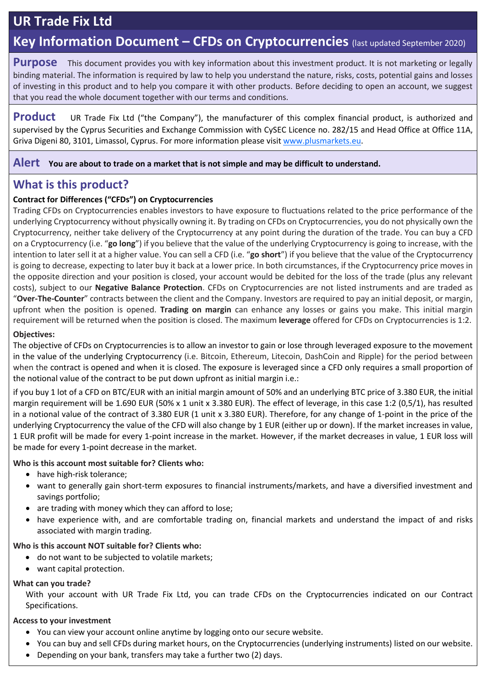# **UR Trade Fix Ltd**

# **Key Information Document – CFDs on Cryptocurrencies** (last updated September 2020)

**Purpose** This document provides you with key information about this investment product. It is not marketing or legally binding material. The information is required by law to help you understand the nature, risks, costs, potential gains and losses of investing in this product and to help you compare it with other products. Before deciding to open an account, we suggest that you read the whole document together with our terms and conditions.

**Product** UR Trade Fix Ltd ("the Company"), the manufacturer of this complex financial product, is authorized and supervised by the Cyprus Securities and Exchange Commission with CySEC Licence no. 282/15 and Head Office at Office 11A, Griva Digeni 80, 3101, Limassol, Cyprus. For more information please visit [www.plusmarkets.eu.](http://www.plusmarkets.eu/)

### **Alert You are about to trade on a market that is not simple and may be difficult to understand.**

# **What is this product?**

### **Contract for Differences ("CFDs") on Cryptocurrencies**

Trading CFDs on Cryptocurrencies enables investors to have exposure to fluctuations related to the price performance of the underlying Cryptocurrency without physically owning it. By trading on CFDs on Cryptocurrencies, you do not physically own the Cryptocurrency, neither take delivery of the Cryptocurrency at any point during the duration of the trade. You can buy a CFD on a Cryptocurrency (i.e. "**go long**") if you believe that the value of the underlying Cryptocurrency is going to increase, with the intention to later sell it at a higher value. You can sell a CFD (i.e. "**go short**") if you believe that the value of the Cryptocurrency is going to decrease, expecting to later buy it back at a lower price. In both circumstances, if the Cryptocurrency price moves in the opposite direction and your position is closed, your account would be debited for the loss of the trade (plus any relevant costs), subject to our **Negative Balance Protection**. CFDs on Cryptocurrencies are not listed instruments and are traded as "**Over-The-Counter**" contracts between the client and the Company. Investors are required to pay an initial deposit, or margin, upfront when the position is opened. **Trading on margin** can enhance any losses or gains you make. This initial margin requirement will be returned when the position is closed. The maximum **leverage** offered for CFDs on Cryptocurrencies is 1:2.

### **Objectives:**

The objective of CFDs on Cryptocurrencies is to allow an investor to gain or lose through leveraged exposure to the movement in the value of the underlying Cryptocurrency (i.e. Bitcoin, Ethereum, Litecoin, DashCoin and Ripple) for the period between when the contract is opened and when it is closed. The exposure is leveraged since a CFD only requires a small proportion of the notional value of the contract to be put down upfront as initial margin i.e.:

if you buy 1 lot of a CFD on BTC/EUR with an initial margin amount of 50% and an underlying BTC price of 3.380 EUR, the initial margin requirement will be 1.690 EUR (50% x 1 unit x 3.380 EUR). The effect of leverage, in this case 1:2 (0,5/1), has resulted in a notional value of the contract of 3.380 EUR (1 unit x 3.380 EUR). Therefore, for any change of 1-point in the price of the underlying Cryptocurrency the value of the CFD will also change by 1 EUR (either up or down). If the market increases in value, 1 EUR profit will be made for every 1-point increase in the market. However, if the market decreases in value, 1 EUR loss will be made for every 1-point decrease in the market.

**Who is this account most suitable for? Clients who:**

- have high-risk tolerance;
- want to generally gain short-term exposures to financial instruments/markets, and have a diversified investment and savings portfolio;
- are trading with money which they can afford to lose;
- have experience with, and are comfortable trading on, financial markets and understand the impact of and risks associated with margin trading.

### **Who is this account NOT suitable for? Clients who:**

- do not want to be subjected to volatile markets;
- want capital protection.

#### **What can you trade?**

With your account with UR Trade Fix Ltd, you can trade CFDs on the Cryptocurrencies indicated on our Contract Specifications.

#### **Access to your investment**

- You can view your account online anytime by logging onto our secure website.
- You can buy and sell CFDs during market hours, on the Cryptocurrencies (underlying instruments) listed on our website.
- Depending on your bank, transfers may take a further two (2) days.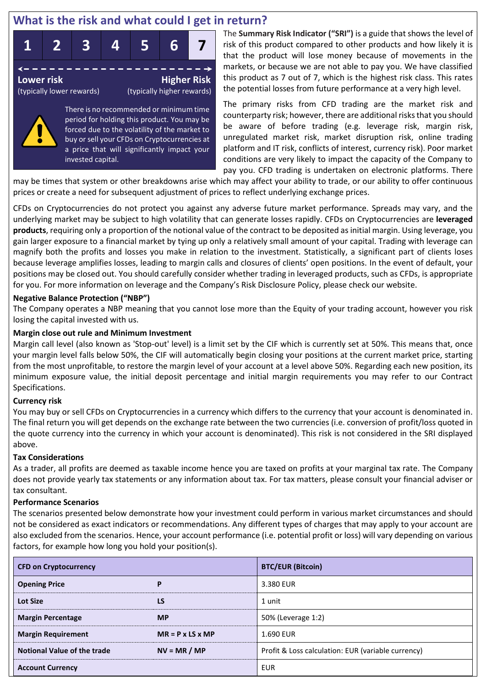# **What is the risk and what could I get in return?**



There is no recommended or minimum time period for holding this product. You may be forced due to the volatility of the market to buy or sell your CFDs on Cryptocurrencies at a price that will significantly impact your invested capital.

The **Summary Risk Indicator ("SRI")** is a guide that shows the level of risk of this product compared to other products and how likely it is that the product will lose money because of movements in the markets, or because we are not able to pay you. We have classified this product as 7 out of 7, which is the highest risk class. This rates the potential losses from future performance at a very high level.

The primary risks from CFD trading are the market risk and counterparty risk; however, there are additional risks that you should be aware of before trading (e.g. leverage risk, margin risk, unregulated market risk, market disruption risk, online trading platform and IT risk, conflicts of interest, currency risk). Poor market conditions are very likely to impact the capacity of the Company to pay you. CFD trading is undertaken on electronic platforms. There

may be times that system or other breakdowns arise which may affect your ability to trade, or our ability to offer continuous prices or create a need for subsequent adjustment of prices to reflect underlying exchange prices.

CFDs on Cryptocurrencies do not protect you against any adverse future market performance. Spreads may vary, and the underlying market may be subject to high volatility that can generate losses rapidly. CFDs on Cryptocurrencies are **leveraged products**, requiring only a proportion of the notional value of the contract to be deposited as initial margin. Using leverage, you gain larger exposure to a financial market by tying up only a relatively small amount of your capital. Trading with leverage can magnify both the profits and losses you make in relation to the investment. Statistically, a significant part of clients loses because leverage amplifies losses, leading to margin calls and closures of clients' open positions. In the event of default, your positions may be closed out. You should carefully consider whether trading in leveraged products, such as CFDs, is appropriate for you. For more information on leverage and the Company's Risk Disclosure Policy, please check our website.

#### **Negative Balance Protection ("NBP")**

The Company operates a NBP meaning that you cannot lose more than the Equity of your trading account, however you risk losing the capital invested with us.

### **Margin close out rule and Minimum Investment**

Margin call level (also known as 'Stop-out' level) is a limit set by the CIF which is currently set at 50%. This means that, once your margin level falls below 50%, the CIF will automatically begin closing your positions at the current market price, starting from the most unprofitable, to restore the margin level of your account at a level above 50%. Regarding each new position, its minimum exposure value, the initial deposit percentage and initial margin requirements you may refer to our Contract Specifications.

#### **Currency risk**

You may buy or sell CFDs on Cryptocurrencies in a currency which differs to the currency that your account is denominated in. The final return you will get depends on the exchange rate between the two currencies (i.e. conversion of profit/loss quoted in the quote currency into the currency in which your account is denominated). This risk is not considered in the SRI displayed above.

#### **Tax Considerations**

As a trader, all profits are deemed as taxable income hence you are taxed on profits at your marginal tax rate. The Company does not provide yearly tax statements or any information about tax. For tax matters, please consult your financial adviser or tax consultant.

#### **Performance Scenarios**

The scenarios presented below demonstrate how your investment could perform in various market circumstances and should not be considered as exact indicators or recommendations. Any different types of charges that may apply to your account are also excluded from the scenarios. Hence, your account performance (i.e. potential profit or loss) will vary depending on various factors, for example how long you hold your position(s).

| <b>CFD on Cryptocurrency</b>       |                              | <b>BTC/EUR (Bitcoin)</b>                           |  |  |
|------------------------------------|------------------------------|----------------------------------------------------|--|--|
| <b>Opening Price</b>               | P                            | 3.380 EUR                                          |  |  |
| <b>Lot Size</b>                    | LS                           | 1 unit                                             |  |  |
| <b>Margin Percentage</b>           | <b>MP</b>                    | 50% (Leverage 1:2)                                 |  |  |
| <b>Margin Requirement</b>          | $MR = P \times LS \times MP$ | 1.690 EUR                                          |  |  |
| <b>Notional Value of the trade</b> | $NV = MR / MP$               | Profit & Loss calculation: EUR (variable currency) |  |  |
| <b>Account Currency</b>            |                              | <b>EUR</b>                                         |  |  |